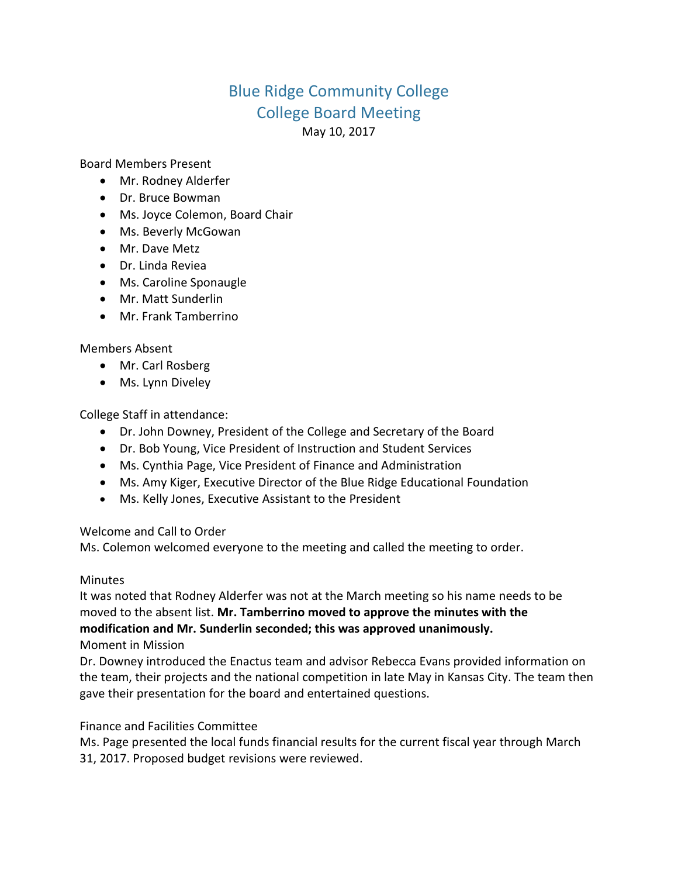# Blue Ridge Community College College Board Meeting May 10, 2017

Board Members Present

- Mr. Rodney Alderfer
- Dr. Bruce Bowman
- Ms. Joyce Colemon, Board Chair
- Ms. Beverly McGowan
- Mr. Dave Metz
- Dr. Linda Reviea
- Ms. Caroline Sponaugle
- Mr. Matt Sunderlin
- Mr. Frank Tamberrino

## Members Absent

- Mr. Carl Rosberg
- Ms. Lynn Diveley

College Staff in attendance:

- Dr. John Downey, President of the College and Secretary of the Board
- Dr. Bob Young, Vice President of Instruction and Student Services
- Ms. Cynthia Page, Vice President of Finance and Administration
- Ms. Amy Kiger, Executive Director of the Blue Ridge Educational Foundation
- Ms. Kelly Jones, Executive Assistant to the President

Welcome and Call to Order

Ms. Colemon welcomed everyone to the meeting and called the meeting to order.

#### Minutes

It was noted that Rodney Alderfer was not at the March meeting so his name needs to be moved to the absent list. **Mr. Tamberrino moved to approve the minutes with the modification and Mr. Sunderlin seconded; this was approved unanimously.**

Moment in Mission

Dr. Downey introduced the Enactus team and advisor Rebecca Evans provided information on the team, their projects and the national competition in late May in Kansas City. The team then gave their presentation for the board and entertained questions.

Finance and Facilities Committee

Ms. Page presented the local funds financial results for the current fiscal year through March 31, 2017. Proposed budget revisions were reviewed.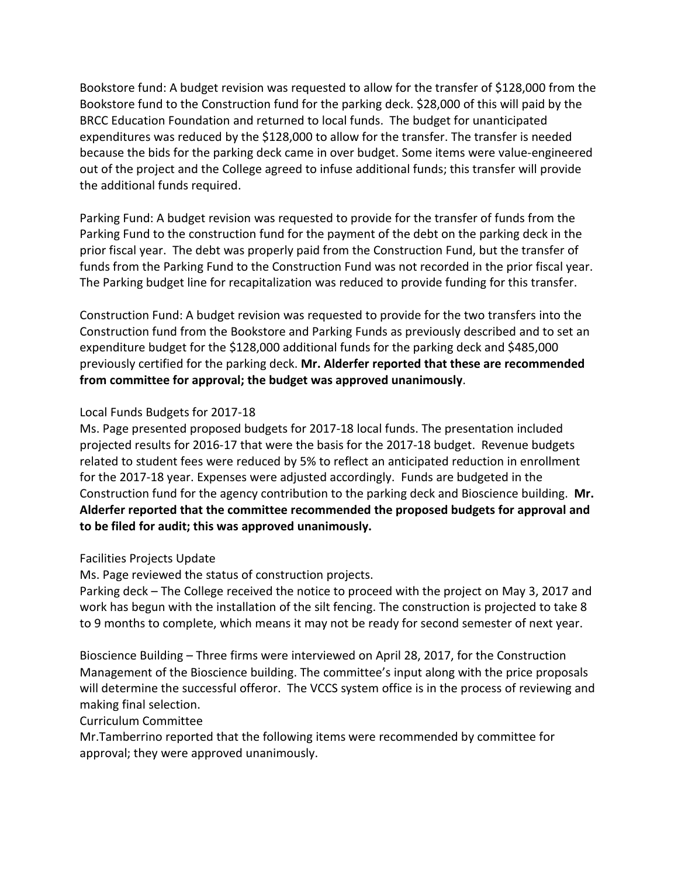Bookstore fund: A budget revision was requested to allow for the transfer of \$128,000 from the Bookstore fund to the Construction fund for the parking deck. \$28,000 of this will paid by the BRCC Education Foundation and returned to local funds. The budget for unanticipated expenditures was reduced by the \$128,000 to allow for the transfer. The transfer is needed because the bids for the parking deck came in over budget. Some items were value-engineered out of the project and the College agreed to infuse additional funds; this transfer will provide the additional funds required.

Parking Fund: A budget revision was requested to provide for the transfer of funds from the Parking Fund to the construction fund for the payment of the debt on the parking deck in the prior fiscal year. The debt was properly paid from the Construction Fund, but the transfer of funds from the Parking Fund to the Construction Fund was not recorded in the prior fiscal year. The Parking budget line for recapitalization was reduced to provide funding for this transfer.

Construction Fund: A budget revision was requested to provide for the two transfers into the Construction fund from the Bookstore and Parking Funds as previously described and to set an expenditure budget for the \$128,000 additional funds for the parking deck and \$485,000 previously certified for the parking deck. **Mr. Alderfer reported that these are recommended from committee for approval; the budget was approved unanimously**.

## Local Funds Budgets for 2017-18

Ms. Page presented proposed budgets for 2017-18 local funds. The presentation included projected results for 2016-17 that were the basis for the 2017-18 budget. Revenue budgets related to student fees were reduced by 5% to reflect an anticipated reduction in enrollment for the 2017-18 year. Expenses were adjusted accordingly. Funds are budgeted in the Construction fund for the agency contribution to the parking deck and Bioscience building. **Mr. Alderfer reported that the committee recommended the proposed budgets for approval and to be filed for audit; this was approved unanimously.**

## Facilities Projects Update

Ms. Page reviewed the status of construction projects.

Parking deck – The College received the notice to proceed with the project on May 3, 2017 and work has begun with the installation of the silt fencing. The construction is projected to take 8 to 9 months to complete, which means it may not be ready for second semester of next year.

Bioscience Building – Three firms were interviewed on April 28, 2017, for the Construction Management of the Bioscience building. The committee's input along with the price proposals will determine the successful offeror. The VCCS system office is in the process of reviewing and making final selection.

## Curriculum Committee

Mr.Tamberrino reported that the following items were recommended by committee for approval; they were approved unanimously.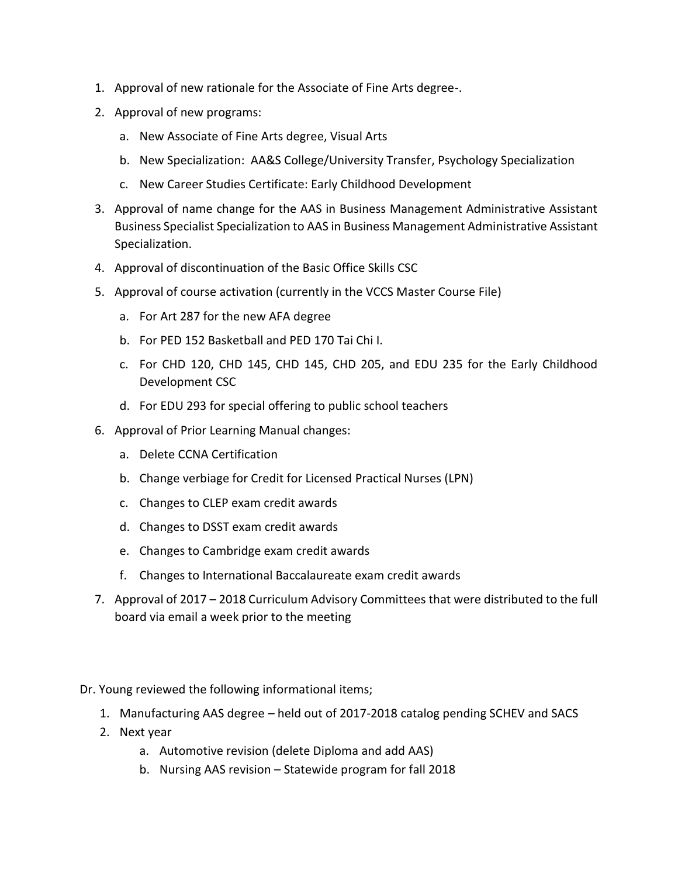- 1. Approval of new rationale for the Associate of Fine Arts degree-.
- 2. Approval of new programs:
	- a. New Associate of Fine Arts degree, Visual Arts
	- b. New Specialization: AA&S College/University Transfer, Psychology Specialization
	- c. New Career Studies Certificate: Early Childhood Development
- 3. Approval of name change for the AAS in Business Management Administrative Assistant Business Specialist Specialization to AAS in Business Management Administrative Assistant Specialization.
- 4. Approval of discontinuation of the Basic Office Skills CSC
- 5. Approval of course activation (currently in the VCCS Master Course File)
	- a. For Art 287 for the new AFA degree
	- b. For PED 152 Basketball and PED 170 Tai Chi I.
	- c. For CHD 120, CHD 145, CHD 145, CHD 205, and EDU 235 for the Early Childhood Development CSC
	- d. For EDU 293 for special offering to public school teachers
- 6. Approval of Prior Learning Manual changes:
	- a. Delete CCNA Certification
	- b. Change verbiage for Credit for Licensed Practical Nurses (LPN)
	- c. Changes to CLEP exam credit awards
	- d. Changes to DSST exam credit awards
	- e. Changes to Cambridge exam credit awards
	- f. Changes to International Baccalaureate exam credit awards
- 7. Approval of 2017 2018 Curriculum Advisory Committees that were distributed to the full board via email a week prior to the meeting
- Dr. Young reviewed the following informational items;
	- 1. Manufacturing AAS degree held out of 2017-2018 catalog pending SCHEV and SACS
	- 2. Next year
		- a. Automotive revision (delete Diploma and add AAS)
		- b. Nursing AAS revision Statewide program for fall 2018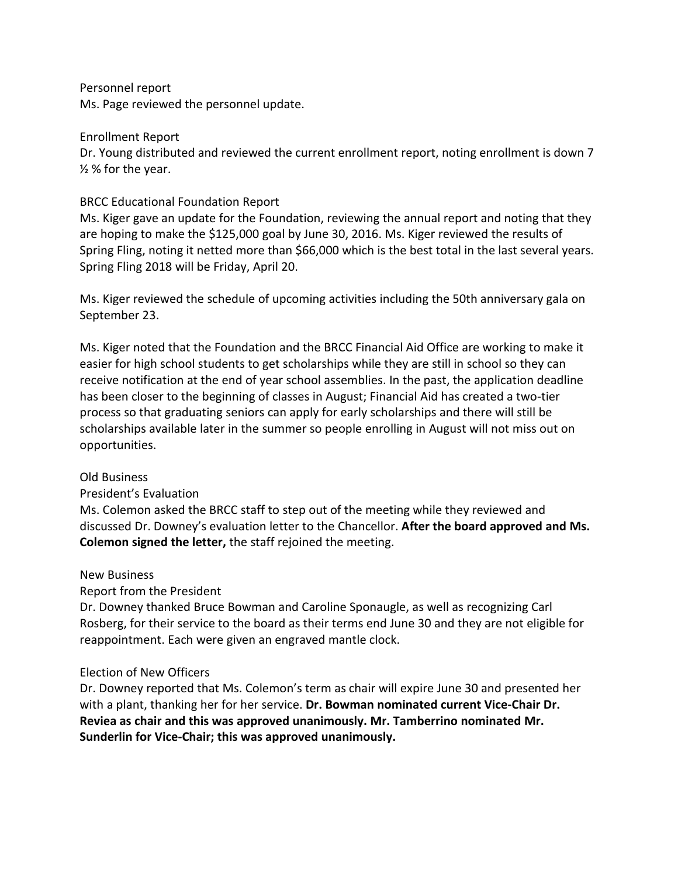#### Personnel report

Ms. Page reviewed the personnel update.

#### Enrollment Report

Dr. Young distributed and reviewed the current enrollment report, noting enrollment is down 7 ½ % for the year.

## BRCC Educational Foundation Report

Ms. Kiger gave an update for the Foundation, reviewing the annual report and noting that they are hoping to make the \$125,000 goal by June 30, 2016. Ms. Kiger reviewed the results of Spring Fling, noting it netted more than \$66,000 which is the best total in the last several years. Spring Fling 2018 will be Friday, April 20.

Ms. Kiger reviewed the schedule of upcoming activities including the 50th anniversary gala on September 23.

Ms. Kiger noted that the Foundation and the BRCC Financial Aid Office are working to make it easier for high school students to get scholarships while they are still in school so they can receive notification at the end of year school assemblies. In the past, the application deadline has been closer to the beginning of classes in August; Financial Aid has created a two-tier process so that graduating seniors can apply for early scholarships and there will still be scholarships available later in the summer so people enrolling in August will not miss out on opportunities.

#### Old Business

#### President's Evaluation

Ms. Colemon asked the BRCC staff to step out of the meeting while they reviewed and discussed Dr. Downey's evaluation letter to the Chancellor. **After the board approved and Ms. Colemon signed the letter,** the staff rejoined the meeting.

#### New Business

## Report from the President

Dr. Downey thanked Bruce Bowman and Caroline Sponaugle, as well as recognizing Carl Rosberg, for their service to the board as their terms end June 30 and they are not eligible for reappointment. Each were given an engraved mantle clock.

#### Election of New Officers

Dr. Downey reported that Ms. Colemon's term as chair will expire June 30 and presented her with a plant, thanking her for her service. **Dr. Bowman nominated current Vice-Chair Dr. Reviea as chair and this was approved unanimously. Mr. Tamberrino nominated Mr. Sunderlin for Vice-Chair; this was approved unanimously.**